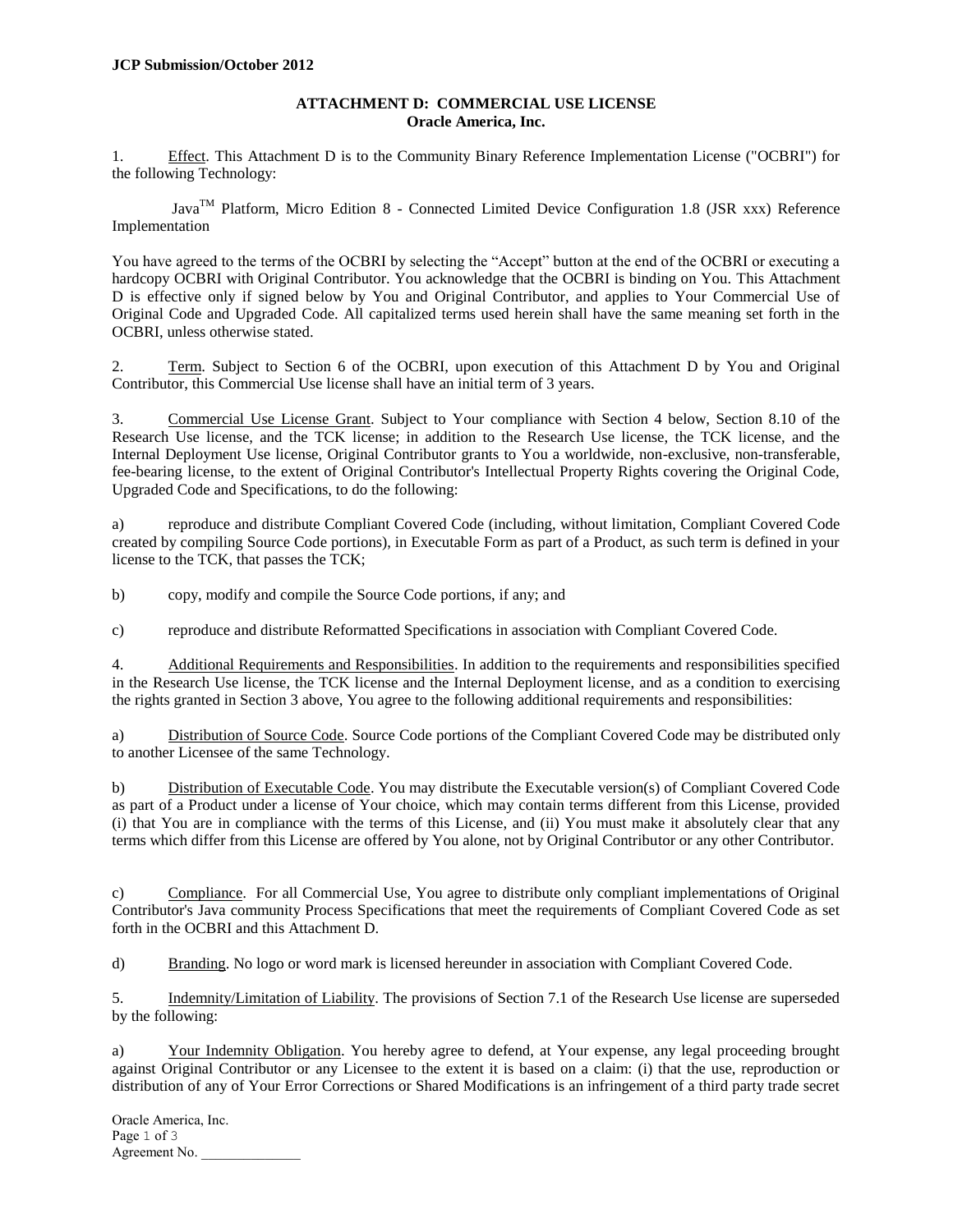## **ATTACHMENT D: COMMERCIAL USE LICENSE Oracle America, Inc.**

1. Effect. This Attachment D is to the Community Binary Reference Implementation License ("OCBRI") for the following Technology:

 $Java^{TM}$  Platform, Micro Edition 8 - Connected Limited Device Configuration 1.8 (JSR xxx) Reference Implementation

You have agreed to the terms of the OCBRI by selecting the "Accept" button at the end of the OCBRI or executing a hardcopy OCBRI with Original Contributor. You acknowledge that the OCBRI is binding on You. This Attachment D is effective only if signed below by You and Original Contributor, and applies to Your Commercial Use of Original Code and Upgraded Code. All capitalized terms used herein shall have the same meaning set forth in the OCBRI, unless otherwise stated.

2. Term. Subject to Section 6 of the OCBRI, upon execution of this Attachment D by You and Original Contributor, this Commercial Use license shall have an initial term of 3 years.

3. Commercial Use License Grant. Subject to Your compliance with Section 4 below, Section 8.10 of the Research Use license, and the TCK license; in addition to the Research Use license, the TCK license, and the Internal Deployment Use license, Original Contributor grants to You a worldwide, non-exclusive, non-transferable, fee-bearing license, to the extent of Original Contributor's Intellectual Property Rights covering the Original Code, Upgraded Code and Specifications, to do the following:

a) reproduce and distribute Compliant Covered Code (including, without limitation, Compliant Covered Code created by compiling Source Code portions), in Executable Form as part of a Product, as such term is defined in your license to the TCK, that passes the TCK;

b) copy, modify and compile the Source Code portions, if any; and

c) reproduce and distribute Reformatted Specifications in association with Compliant Covered Code.

4. Additional Requirements and Responsibilities. In addition to the requirements and responsibilities specified in the Research Use license, the TCK license and the Internal Deployment license, and as a condition to exercising the rights granted in Section 3 above, You agree to the following additional requirements and responsibilities:

a) Distribution of Source Code. Source Code portions of the Compliant Covered Code may be distributed only to another Licensee of the same Technology.

b) Distribution of Executable Code. You may distribute the Executable version(s) of Compliant Covered Code as part of a Product under a license of Your choice, which may contain terms different from this License, provided (i) that You are in compliance with the terms of this License, and (ii) You must make it absolutely clear that any terms which differ from this License are offered by You alone, not by Original Contributor or any other Contributor.

c) Compliance. For all Commercial Use, You agree to distribute only compliant implementations of Original Contributor's Java community Process Specifications that meet the requirements of Compliant Covered Code as set forth in the OCBRI and this Attachment D.

d) Branding. No logo or word mark is licensed hereunder in association with Compliant Covered Code.

5. Indemnity/Limitation of Liability. The provisions of Section 7.1 of the Research Use license are superseded by the following:

a) Your Indemnity Obligation. You hereby agree to defend, at Your expense, any legal proceeding brought against Original Contributor or any Licensee to the extent it is based on a claim: (i) that the use, reproduction or distribution of any of Your Error Corrections or Shared Modifications is an infringement of a third party trade secret

Oracle America, Inc. Page 1 of 3 Agreement No.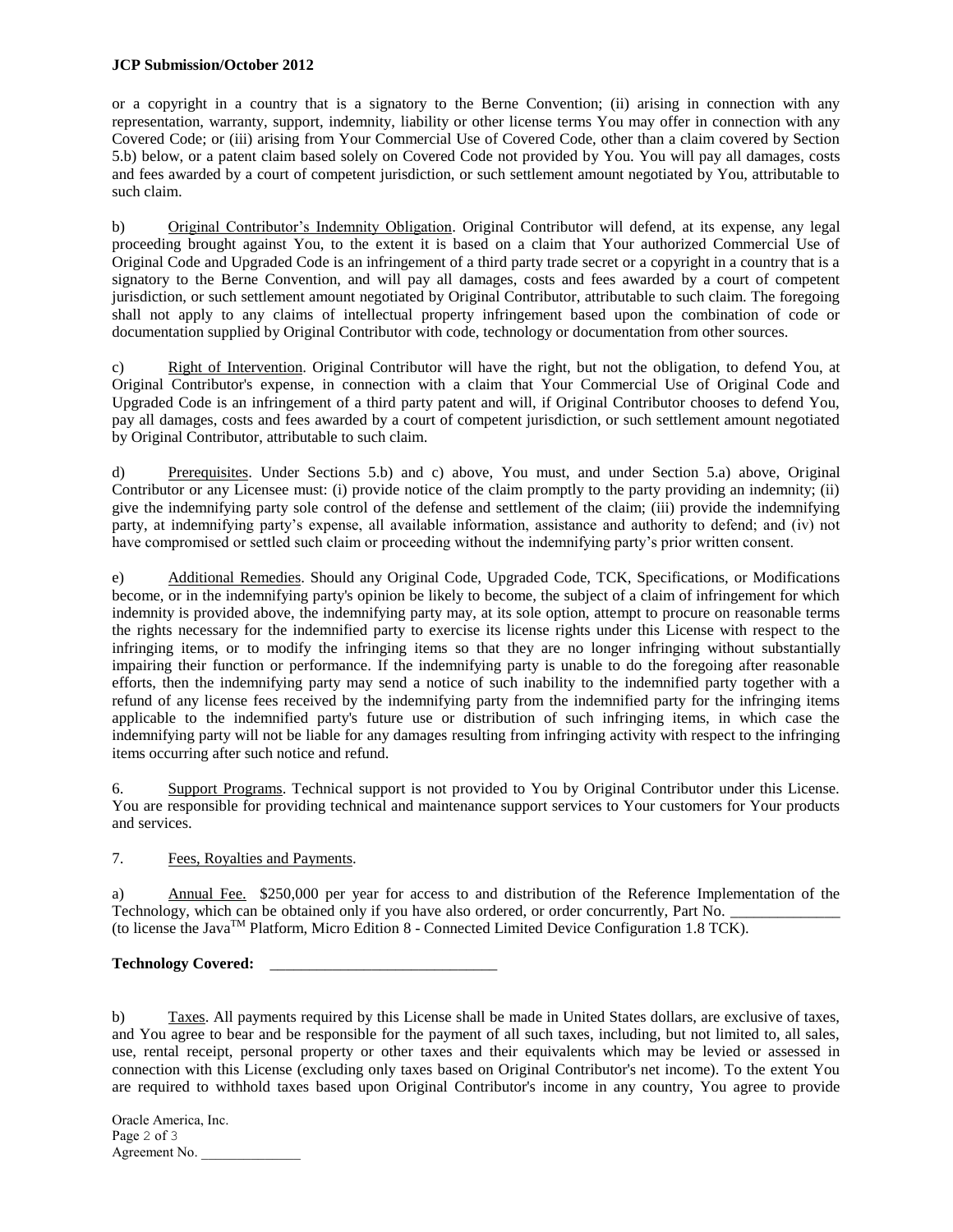## **JCP Submission/October 2012**

or a copyright in a country that is a signatory to the Berne Convention; (ii) arising in connection with any representation, warranty, support, indemnity, liability or other license terms You may offer in connection with any Covered Code; or (iii) arising from Your Commercial Use of Covered Code, other than a claim covered by Section 5.b) below, or a patent claim based solely on Covered Code not provided by You. You will pay all damages, costs and fees awarded by a court of competent jurisdiction, or such settlement amount negotiated by You, attributable to such claim.

b) Original Contributor's Indemnity Obligation. Original Contributor will defend, at its expense, any legal proceeding brought against You, to the extent it is based on a claim that Your authorized Commercial Use of Original Code and Upgraded Code is an infringement of a third party trade secret or a copyright in a country that is a signatory to the Berne Convention, and will pay all damages, costs and fees awarded by a court of competent jurisdiction, or such settlement amount negotiated by Original Contributor, attributable to such claim. The foregoing shall not apply to any claims of intellectual property infringement based upon the combination of code or documentation supplied by Original Contributor with code, technology or documentation from other sources.

c) Right of Intervention. Original Contributor will have the right, but not the obligation, to defend You, at Original Contributor's expense, in connection with a claim that Your Commercial Use of Original Code and Upgraded Code is an infringement of a third party patent and will, if Original Contributor chooses to defend You, pay all damages, costs and fees awarded by a court of competent jurisdiction, or such settlement amount negotiated by Original Contributor, attributable to such claim.

d) Prerequisites. Under Sections 5.b) and c) above, You must, and under Section 5.a) above, Original Contributor or any Licensee must: (i) provide notice of the claim promptly to the party providing an indemnity; (ii) give the indemnifying party sole control of the defense and settlement of the claim; (iii) provide the indemnifying party, at indemnifying party's expense, all available information, assistance and authority to defend; and (iv) not have compromised or settled such claim or proceeding without the indemnifying party's prior written consent.

e) Additional Remedies. Should any Original Code, Upgraded Code, TCK, Specifications, or Modifications become, or in the indemnifying party's opinion be likely to become, the subject of a claim of infringement for which indemnity is provided above, the indemnifying party may, at its sole option, attempt to procure on reasonable terms the rights necessary for the indemnified party to exercise its license rights under this License with respect to the infringing items, or to modify the infringing items so that they are no longer infringing without substantially impairing their function or performance. If the indemnifying party is unable to do the foregoing after reasonable efforts, then the indemnifying party may send a notice of such inability to the indemnified party together with a refund of any license fees received by the indemnifying party from the indemnified party for the infringing items applicable to the indemnified party's future use or distribution of such infringing items, in which case the indemnifying party will not be liable for any damages resulting from infringing activity with respect to the infringing items occurring after such notice and refund.

6. Support Programs. Technical support is not provided to You by Original Contributor under this License. You are responsible for providing technical and maintenance support services to Your customers for Your products and services.

## 7. Fees, Royalties and Payments.

a) Annual Fee. \$250,000 per year for access to and distribution of the Reference Implementation of the Technology, which can be obtained only if you have also ordered, or order concurrently, Part No. (to license the Java<sup>TM</sup> Platform, Micro Edition 8 - Connected Limited Device Configuration 1.8 TCK).

Technology Covered:

b) Taxes. All payments required by this License shall be made in United States dollars, are exclusive of taxes, and You agree to bear and be responsible for the payment of all such taxes, including, but not limited to, all sales, use, rental receipt, personal property or other taxes and their equivalents which may be levied or assessed in connection with this License (excluding only taxes based on Original Contributor's net income). To the extent You are required to withhold taxes based upon Original Contributor's income in any country, You agree to provide

Oracle America, Inc. Page 2 of 3 Agreement No.